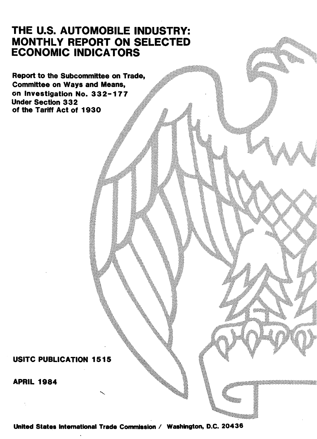# THE U.S. AUTOMOBILE INDUSTRY: MONTHLY REPORT ON SELECTED ECONOMIC INDICATORS

Report to the Subcommittee on Trade, Committee on Ways and Means, on Investigation No. 3 3 2-1 7 7 Under Section 3 3 2 of the Tariff Act of 1930

USITC PUBLICATION 1515

APRIL 1984

United States International Trade Commission / Washington, D.C. 20436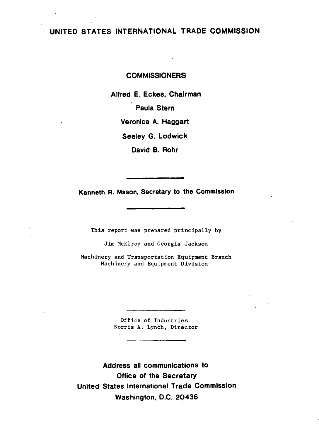## UNITED STATES INTERNATIONAL TRADE COMMISSION

#### **COMMISSIONERS**

Alfred E. Eckes, Chairman Paula Stern Veronica A. Haggart Seeley G. Lodwick David B. Rohr

Kenneth R. Mason, Secretary to the Commission

This report was prepared principally by

Jim McElroy and Georgia Jackson

Machinery and Transportation Equipment Branch Machinery and Equipment Division

> Office of Industries Norris A. Lynch, Director

Address all communications to Office of the Secretary United States International Trade Commission Washington, D.C. 20436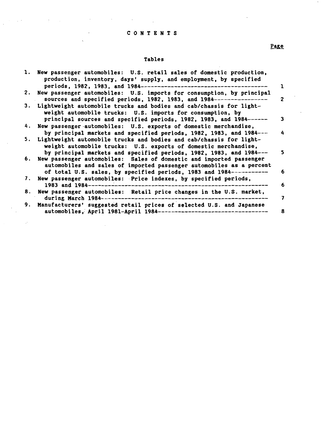### C 0 N T E N T S

 $\mathcal{L}_{\text{max}}$  and  $\mathcal{L}_{\text{max}}$  are the set of the set of the set of the set of  $\mathcal{L}_{\text{max}}$ 

 $\sim$   $\lambda$  $\ddot{\phantom{0}}$ 

 $\label{eq:2.1} \frac{1}{2}\int_{\mathbb{R}^3}\left|\frac{d\mathbf{r}}{d\mathbf{r}}\right|^2\,d\mathbf{r}^2\,d\mathbf{r}^2\,d\mathbf{r}^2\,d\mathbf{r}^2\,d\mathbf{r}^2\,d\mathbf{r}^2\,d\mathbf{r}^2\,d\mathbf{r}^2\,d\mathbf{r}^2\,d\mathbf{r}^2\,d\mathbf{r}^2\,d\mathbf{r}^2\,d\mathbf{r}^2\,d\mathbf{r}^2\,d\mathbf{r}^2\,d\math$ 

 $\sim$ 

 $\sim 10^6$ 

#### Tables

|    | 1. New passenger automobiles: U.S. retail sales of domestic production,<br>production, inventory, days' supply, and employment, by specified<br>periods, 1982, 1983, and 1984--------------------------------         |                |
|----|-----------------------------------------------------------------------------------------------------------------------------------------------------------------------------------------------------------------------|----------------|
|    | 2. New passenger automobiles: U.S. imports for consumption, by principal<br>sources and specified periods, 1982, 1983, and 1984--------                                                                               | $\overline{2}$ |
|    | 3. Lightweight automobile trucks and bodies and cab/chassis for light-<br>weight automobile trucks: U.S. imports for consumption, by                                                                                  |                |
|    | principal sources and specified periods, 1982, 1983, and 1984------                                                                                                                                                   |                |
|    | 4. New passenger automobiles: U.S. exports of domestic merchandise,                                                                                                                                                   |                |
|    | by principal markets and specified periods, 1982, 1983, and 1984---                                                                                                                                                   |                |
|    | 5. Lightweight automobile trucks and bodies and cab/chassis for light-<br>weight automobile trucks: U.S. exports of domestic merchandise,                                                                             | S.             |
|    | by principal markets and specified periods, 1982, 1983, and 1984---<br>6. New passenger automobiles: Sales of domestic and imported passenger<br>automobiles and sales of imported passenger automobiles as a percent |                |
|    | of total U.S. sales, by specified periods, 1983 and 1984-----------                                                                                                                                                   | 6              |
|    | 7. New passenger automobiles: Price indexes, by specified periods,<br>1983 and 1984----------------                                                                                                                   | 6              |
| 8. | New passenger automobiles: Retail price changes in the U.S. market,<br>during March 1984---------------                                                                                                               | 7              |
| 9. | Manufacturers' suggested retail prices of selected U.S. and Japanese<br>automobiles, April 1981-April 1984-------------------------------                                                                             | 8              |

# Page

 $\overline{a}$ 

 $\mathcal{A}$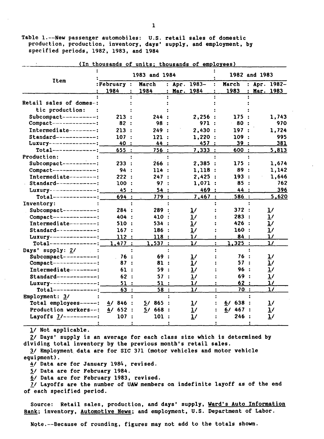Table 1.--New passenger automobiles: U.S. retail sales of domestic production, production, inventory, days' supply, and employment, by specified periods, 1982, 1983, and 1984

|                           |             |                | 1983 and 1984 |                |                       |            |                        | 1982 and 1983 |                |
|---------------------------|-------------|----------------|---------------|----------------|-----------------------|------------|------------------------|---------------|----------------|
| <b>Item</b>               | : February: |                | March         |                | : Apr. 1983-          | March<br>÷ |                        |               | : Apr. $1982-$ |
|                           | 1984        | 1984           |               | $\ddot{\cdot}$ | Mar. 1984             |            | 1983<br>$\ddot{\cdot}$ |               | Mar. 1983      |
|                           |             |                |               |                |                       |            |                        |               |                |
| Retail sales of domes-:   |             |                |               |                |                       |            |                        |               |                |
| tic production:           |             |                |               |                |                       |            |                        |               |                |
| Subcompact-----------:    | 213:        |                | 244 :         |                | 2,256:                |            | 175 :                  |               | 1,743          |
| Compact--------------:    | 82          |                | 98 :          |                | 971 :                 |            | 80                     |               | 970            |
| Intermediate--------:     | 213:        |                | 249 :         |                | 2,430:                |            | 197:                   |               | 1,724          |
| $Standard$ -------------: | 107:        |                | 121:          |                | 1,220:                |            | 109                    |               | 995            |
| Luxury----------------:   | 40          |                | 44 :          |                | 457 :                 |            | 39:                    |               | 381            |
| $Total-----$              | 655         | $\cdot$ :      | 756 :         |                | 7,333:                |            | 600:                   |               | 5,813          |
| Production:               |             |                |               |                |                       |            |                        |               |                |
| Subcompact----------:     | 233:        |                | 266:          |                | 2,385:                |            | 175 :                  |               | 1,674          |
| Compact--------------:    | 94          | $\mathbf{r}$   | 114:          |                | 1,118:                |            | 89<br>$\ddot{\cdot}$   |               | 1,142          |
| Intermediate--------:     | 222:        |                | 247:          |                | 2,425:                |            | 193<br>$\ddot{\cdot}$  |               | 1,646          |
| $Stand$ ard-------------: | 100         | $\ddot{\cdot}$ | 97:           |                | 1,071:                |            | 85<br>$\ddot{\cdot}$   |               | 762            |
| Luxury----------------:   | 45 :        |                | 54:           |                | 469:                  |            | 44 :                   |               | 396            |
| $Total-----$              | 694 :       |                | 779:          |                | 7,467:                |            | 586 :                  |               | 5,620          |
| Inventory:                |             |                |               |                |                       |            |                        |               |                |
| Subcompact----------:     | 284 :       |                | 289           |                | $\mathbf{1}^{\prime}$ |            | 372                    |               | $\overline{1}$ |
| $Compare t-----$          | 404 :       |                | 410 :         |                | 1/                    |            | 283<br>- :             |               | 1/             |
| Intermediate---------:    | 510:        |                | 534 :         |                | 1/                    |            | 426 :                  |               | $\mathbf{1}$   |
| $Standard---------$       | 167:        |                | 186:          |                | 1/                    |            | 160:                   |               | $\mathbf{1}$   |
| Luxury---------------:    | 112:        |                | 118:          |                | $\mathbf{1}$          |            | 84:                    |               | $\mathbf{1}$   |
| $Total-----$              | 1.477:      |                | 1,537:        |                | $\mathbf{1}$          |            | 1,325:                 |               | $\mathbf{1}$   |
| Days' supply: 2/          |             |                |               |                |                       |            |                        |               |                |
| Subcompact----------:     | 76 :        |                | 69 :          |                | <u>ı/</u>             |            | 76                     |               | <u>1/</u>      |
| Compact--------------:    | 87 :        |                | 81 :          |                | 1/                    |            | 57 :                   |               | $\mathbf{L}$   |
| Intermediate--------:     | 61 :        |                | 59 :          |                | 1/                    |            | 96 :                   |               | 1/             |
| $Standard-----$           | 62:         |                | 57:           |                | 1/                    |            | 69 :                   |               | 1/             |
| Luxury---------------:    | 51:         |                | 51 :          |                | $\mathbf{1}$          |            | 62:                    |               | $\mathbf{1}$   |
| $Total-----$              | 63:         |                | 58:           |                | $\frac{1}{2}$         |            | 70 :                   |               | 1/             |
| Employment: 3/            |             |                |               |                |                       |            |                        |               |                |
| Total employees------:    | $4/846$ :   |                | 865:<br>57.   |                | $\frac{1}{2}$         | 6/         | 638 :                  |               | $\mathbf{1}$   |
| Production workers--:     | 4/652:      |                | 5/668:        |                | $\mathbf{1}$          |            | 6/467:                 |               | $\overline{1}$ |
| Layoffs 7/----------:     | 107         |                | 101:          |                | 1/                    |            | 246                    |               | 1/             |
|                           |             |                |               |                |                       |            |                        |               |                |

(In thousands of units; thousands of employees)

l/ Not applicable.

2/ Days' supply is an average for each class size which is determined by dividing total inventory by the previous month's retail sales.

*11* Employment data are for SIC 371 (motor vehicles and motor vehicle equipment).

4/ Data are for January 1984, revised.

*11* Data are for February 1984.

6/ Data are for February 1983, revised.

1/ Layoffs are the number of UAW members on indefinite layoff as of the end of each specified period.

Source: Retail sales, production, and days' supply, Ward's Auto Information Bank; inventory, Automotive News; and employment, U.S. Department of Labor.

Nqte.--Because of rounding, figures may not add to the totals shown.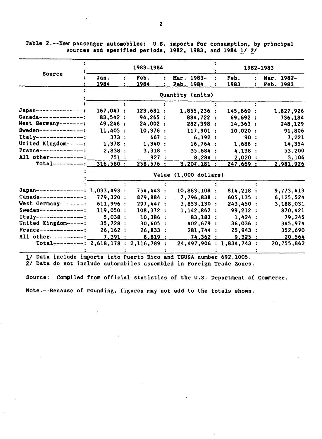Table 2.--New passenger automobiles: U.S. imports for consumption, by principal sources and specified periods, 1982, 1983, and 1984  $1/2/$ 

|                                          |              | 1983-1984    |                          |              | 1982-1983               |
|------------------------------------------|--------------|--------------|--------------------------|--------------|-------------------------|
| Source                                   | Jan.<br>1984 | Feb.<br>1984 | Mar. 1983-<br>Feb. 1984  | Feb.<br>1983 | Mar. 1982-<br>Feb. 1983 |
|                                          |              |              | Quantity (units)         |              |                         |
|                                          |              |              |                          |              |                         |
| Japan---------------:                    | 167,047 :    | 123,681:     | 1,855,236:               | 145,660:     | 1,827,926               |
| $Canada-----$                            | 83,542 :     | 94, 265 :    | 884,722 :                | 69,692:      | 736,184                 |
| West Germany-------:                     | 49,246 :     | 24,002:      | 282,398:                 | 14,363:      | 248,129                 |
| Sweden--------------:                    | 11,405:      | 10,376:      | 117,901:                 | 10,020:      | 91,806                  |
| $Itally-----$                            | 373:         | 667:         | 6,192:                   | 90:          | 7,221                   |
| United Kingdom------:                    | 1,378:       | 1,340:       | 16,764:                  | 1,686:       | 14,354                  |
| $Frame---------$                         | 2,838:       | 3,318:       | 35,684:                  | 4,138:       | 53,200                  |
| All other-----------:                    | 751:         | 927:         | 8,284:                   | $2,020$ :    | 3,106                   |
| $Total-----$                             | 316,580:     | 258,576:     | 3,207,181:               | 247,669:     | 2,981,926               |
|                                          |              |              | Value (1,000 dollars)    |              |                         |
|                                          |              |              |                          |              |                         |
| Japan---------------: 1,033,493 :        |              | 754,443 :    | 10,863,108:              | 814,218:     | 9,773,413               |
| $Canada-----$                            | 779,320:     | 879,884 :    | 7,796,838:               | 605,135 :    | 6,125,524               |
| West Germany-------:                     | 611,996:     | 297,447 :    | 3,853,130:               | 243,450 :    | 3,188,031               |
| Sweden---------------:                   | 119,050 :    | 108,372 :    | 1,142,862:               | 99,212:      | 870,421                 |
| $Itally-----------:$                     | 5,038:       | 10,386:      | 83,183:                  | 1,424:       | 79,245                  |
| United Kingdom-----:                     | 35,728:      | 30,605:      | 402,679 :                | 36,036:      | 345,974                 |
| $Frame---------:$                        | 26, 162:     | 26,833:      | 281,744 :                | 25,943:      | 352,690                 |
| All other-----------:                    | 7,391:       | 8,819 :      | 74,362:                  | 9,325:       | 20,564                  |
| Total----------: 2,618,178 : 2,116,789 : |              |              | 24,497,906 : 1,834,743 : |              | 20,755,862              |

definition in the contract of the contract of the contract of the contract of the contract of the contract of the contract of the contract of the contract of the contract of the contract of the contract of the contract of

2/ Data do not include automobiles assembled in Foreign Trade Zones.

Source: Compiled from official statistics of the U.S. Department of Commerce.

Note.--Because of rounding, figures may not add to the totals shown.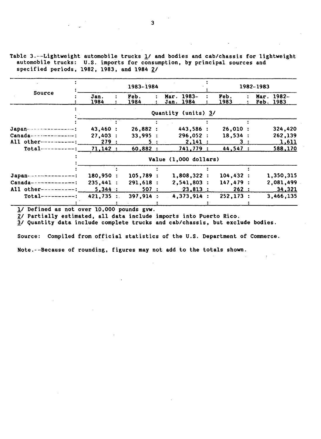Table 3.--Lightweight automobile trucks  $\underline{1}$  and bodies and cab/chassis for lightweight automobile trucks: U.S. imports for consumption, by principal sources and specified periods, 1982, 1983, and 1984 *£1* 

|                         |                       |  | 1983-1984 |  |                     |  |                                |     | 1982-1983 |            |  |  |
|-------------------------|-----------------------|--|-----------|--|---------------------|--|--------------------------------|-----|-----------|------------|--|--|
| Source                  | Jan.                  |  | Feb.      |  | Mar. 1983-          |  | Feb.                           |     |           | Mar. 1982- |  |  |
|                         | 1984                  |  | 1984      |  | Jan. 1984           |  | 1983                           |     |           | Feb. 1983  |  |  |
|                         |                       |  |           |  | Quantity (units) 3/ |  |                                |     |           |            |  |  |
|                         |                       |  |           |  |                     |  |                                |     |           |            |  |  |
| Japan-----------------: | 43,460 :              |  | 26,882:   |  | 443,586 :           |  | 26,010:                        |     |           | 324,420    |  |  |
| $Canada-----$           | 27,403:               |  | 33,995:   |  | 296,052:            |  | 18,534:                        |     |           | 262,139    |  |  |
| All other----------:    | 279:                  |  | 5:        |  | 2,141:              |  |                                | 3 : |           | 1,611      |  |  |
| $Total-----$            | 71,142:               |  | 60,882 :  |  | 741,779 :           |  | 44,547:                        |     |           | 588,170    |  |  |
|                         | Value (1,000 dollars) |  |           |  |                     |  |                                |     |           |            |  |  |
|                         |                       |  |           |  |                     |  |                                |     |           |            |  |  |
| Japan----------------:  | 180,950:              |  | 105,789:  |  | 1,808,322:          |  | 104, 432:                      |     |           | 1,350,315  |  |  |
| $Canada-----$           | 235,441:              |  | 291,618:  |  | 2,541,803:          |  | 147,479:                       |     |           | 2,081,499  |  |  |
| All other----------:    | 5,344:                |  | 507 :     |  | $-23.813$ :         |  | 262:<br>$\Delta \sim 10^{-11}$ |     |           | 34,321     |  |  |
| $Total-----$            | 421,735:              |  | 397,914:  |  | 4,373,914:          |  | 252, 173:                      |     |           | 3,466,135  |  |  |
|                         |                       |  |           |  |                     |  |                                |     |           |            |  |  |

1/ Defined as not over 10,000 pounds gvw.

2/ Partially estimated, all data include imports into Puerto Rico.

*11* Quantity data include complete trucks and cab/chassis, but exclude bodies.

Source: Compiled from official statistics of the U.S. Department of Commerce.

Note.--Because of rounding, figures may not add to the totals shown.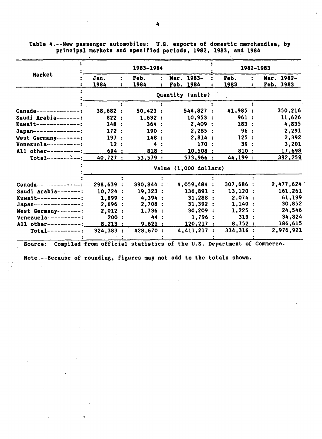|                          |                       |  | 1983-1984      |  |  |                  |  | 1982-1983 |         |                  |  |  |  |
|--------------------------|-----------------------|--|----------------|--|--|------------------|--|-----------|---------|------------------|--|--|--|
| Market                   | Jan.                  |  | Feb.           |  |  | Mar. 1983-       |  | Feb.      | $\cdot$ | Mar. 1982-       |  |  |  |
|                          | 1984                  |  | 1984           |  |  | Feb. 1984        |  | 1983      |         | <u>Feb. 1983</u> |  |  |  |
|                          |                       |  |                |  |  | Quantity (units) |  |           |         |                  |  |  |  |
|                          |                       |  |                |  |  |                  |  |           |         |                  |  |  |  |
| Canada-------------:     | 38,682:               |  | 50,423:        |  |  | 544,827:         |  | 41,985 :  |         | 350,216          |  |  |  |
| Saudi Arabia-------:     | 822:                  |  | 1,632:         |  |  | 10,953:          |  | 961:      |         | 11,626           |  |  |  |
| $Kuwa1t$ --------------  | 148:                  |  | 364:           |  |  | 2,409:           |  | 183:      |         | 4,835            |  |  |  |
| $Japan---------------$   | 172:                  |  | 190:           |  |  | 2,285:           |  | 96 :      |         | 2,291            |  |  |  |
| West Germany--------:    | 197:                  |  | 148:           |  |  | 2,814:           |  | 125:      |         | 2,392            |  |  |  |
| Venezuela-----------:    | 12:                   |  |                |  |  | 170:             |  | 39:       |         | 3,201            |  |  |  |
| All other----------:     | 694 :                 |  | 818 :          |  |  | 10,508:          |  | 810 :     |         | 17,698           |  |  |  |
| $Total-----$             | $40, 727$ :           |  | 53,579:        |  |  | 573,966:         |  | 44,199 :  |         | 392,259          |  |  |  |
|                          | Value (1,000 dollars) |  |                |  |  |                  |  |           |         |                  |  |  |  |
|                          |                       |  |                |  |  |                  |  |           |         |                  |  |  |  |
| $Canada-----$            | 298,639:              |  | 390,844 :      |  |  | 4,059,484:       |  | 307,686:  |         | 2,477,624        |  |  |  |
| Saudi Arabia-------:     | 10,724:               |  | 19,323:        |  |  | 136,891:         |  | 13.120:   |         | 161.261          |  |  |  |
| $Kuwait$ --------------: | 1.899:                |  | 4,394:         |  |  | 31,288:          |  | 2,074:    |         | 61,199           |  |  |  |
| Japan---------------:    | 2,696:                |  | 2,708:         |  |  | 31,392:          |  | 1,140:    |         | 30,852           |  |  |  |
| West Germany--------:    | 2,012:                |  | 1,736:         |  |  | 30,209:          |  | 1,225:    |         | 24,546           |  |  |  |
| Venezuela-----------:    | 200:                  |  | 44 :           |  |  | 1,796:           |  | 319:      |         | 34,824           |  |  |  |
| All other----------:     | 8,213:                |  | <u>9,621 :</u> |  |  | 120, 217:        |  | 8,752:    |         | 186,615          |  |  |  |
| $Total-----:$            | 324,383 :             |  | 428,670 :      |  |  | 4,411,217:       |  | 334,316:  |         | 2,976,921        |  |  |  |
|                          |                       |  |                |  |  |                  |  |           |         |                  |  |  |  |

Table 4.--New passenger automobiles: U.S. exports of domestic merchandise, by principal markets and specified periods, 1982, 1983, and 1984

Source: Compiled from official statistics of the U.S. Department of Commerce.

Note.--Because of rounding, figures may not add to the totals shown.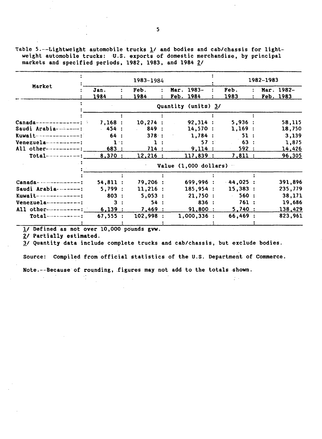Table 5.--Lightweight automobile trucks 1/ and bodies and cab/chassis for lightweight automobile trucks: U.S. exports of domestic merchandise, by principal markets and specified periods, 1982, 1983, and 1984 2/

|                              |                                  |    | 1983-1984                           |  |  |                     |  |                             |  | 1982-1983 |            |
|------------------------------|----------------------------------|----|-------------------------------------|--|--|---------------------|--|-----------------------------|--|-----------|------------|
| Market                       | Jan.                             |    | Feb.                                |  |  | Mar. 1983-          |  | Feb.                        |  |           | Mar. 1982- |
|                              | 1984                             |    | 1984                                |  |  | Feb. 1984           |  | 1983                        |  |           | Feb. 1983  |
|                              |                                  |    |                                     |  |  | Quantity (units) 3/ |  |                             |  |           |            |
|                              |                                  |    |                                     |  |  |                     |  |                             |  |           |            |
| $Canada$ ---------------;    | 7,168:                           |    | 10,274:                             |  |  | 92,314:             |  | 5,936:                      |  |           | 58,115     |
| Saudi Arabia-----------:     | $-454:$                          |    | 849 :<br>$\mathcal{L}^{\text{max}}$ |  |  | 14,570:             |  | 1,169:                      |  |           | 18,750     |
| Kuwait----------------:      | 64 :                             |    | 378:                                |  |  | 1,784:              |  | 51:                         |  |           | 3,139      |
| Venezuela                    | $\mathbf{1}$                     |    |                                     |  |  | 57:                 |  | 63 :                        |  |           | 1,875      |
| All other------------:       | 683:                             |    | 714:                                |  |  | 9.114:              |  | <u>592 :</u>                |  |           | 14,426     |
| $Total-----$ 8,370 :         |                                  |    | 12,216:                             |  |  | 117,839:            |  | 7,811:                      |  |           | 96,305     |
|                              | Value $(1,000$ dollars) $\cdots$ |    |                                     |  |  |                     |  |                             |  |           |            |
|                              |                                  |    |                                     |  |  |                     |  |                             |  |           |            |
| $Canada - - - - - - - - -$ : | 54,811:                          |    | 79,206:                             |  |  | 699,996:            |  | $-44,025$ :                 |  |           | 391,896    |
| Saudi Arabia---------:       | 5,799:                           |    | 11,216:                             |  |  | 185,954:            |  | 15,383:                     |  |           | 235,779    |
| $Kuwa$ it---------------:    | 803:                             |    | 5,053:                              |  |  | 21,750:             |  | 560:<br>$\mathcal{L}^{\pm}$ |  |           | 38,171     |
| Venezuela-----------:        |                                  | 3: | 54:                                 |  |  | 836:                |  | 761:                        |  |           | 19,686     |
| All other-----------:        | 6,139:                           |    | 7,469:                              |  |  | 91,800:             |  | 5,740:                      |  |           | 138,429    |
| $Total$ -----------:         | 67,555:                          |    | 102,998:                            |  |  | 1,000,336:          |  | 66,469:                     |  |           | 823,961    |
|                              |                                  |    |                                     |  |  |                     |  |                             |  |           |            |

l/ Defined as not over 10,000 po'unds gvw.

 $\mathcal{L}_{\mathcal{L}}$ 

2/ Partially estimated.

*11* Quantity data include complete trucks and cab/chassis, but exclude bodies.

Source: Compiled from official statistics of the U.S. Department of Commerce.

 $\tilde{\mathcal{L}}^{(1)}$  .

Note. ---Because of rounding, figures may not add to the totals shown.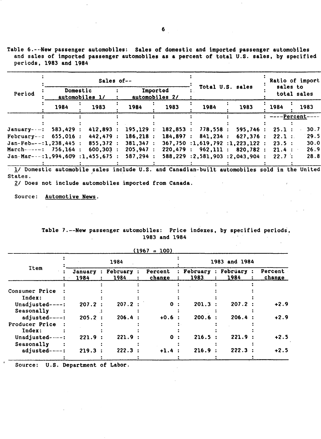Table 6.---New passenger automobiles: Sales of domestic and imported passenger automobiles and sales of imported passenger automobiles as a percent of total U.S. sales, by specified periods, 1983 and 1984

|                                    |          | Sales of--                 |           |                            |          | Ratio of import                   |                         |      |  |
|------------------------------------|----------|----------------------------|-----------|----------------------------|----------|-----------------------------------|-------------------------|------|--|
| Period                             |          | Domestic<br>automobiles 1/ |           | Imported<br>automobiles 2/ |          | Total U.S. sales                  | sales to<br>total sales |      |  |
|                                    | 1984     | 1983                       | 1984      | 1983                       | 1984     | 1983                              | 1984                    | 1983 |  |
|                                    |          |                            |           |                            |          |                                   | ----Percent-            |      |  |
| January - - - :                    | 583,429: | 412,893:                   | 195, 129: | 182.853:                   | 778,558: | 595,746:                          | 25.1:                   | 30.7 |  |
| February--: $655,016$ :            |          | 442, 479:                  | 186, 218: | 184.897:                   | 841,234: | 627.376 :                         | 22.1:                   | 29.5 |  |
| $Jan-Feb---:1.238.445:$            |          | 855,372:                   | 381.347:  |                            |          | $367,750$ :1,619,792 :1,223,122 : | 23.5:                   | 30.0 |  |
| March- $-$ -- $-$ : 756,164 :      |          | 600,303:                   | 205.947:  |                            |          | 220,479:962,111:820,782:          | $21.4$ :                | 26.9 |  |
| $Jan$ -Mar---:1,994,609:1,455,675: |          |                            | 587.294:  |                            |          | 588,229 :2,581,903 :2,043,904 :   | 22.7:                   | 28.8 |  |
|                                    |          |                            |           |                            |          |                                   |                         |      |  |

1/ Domestic automobile sales include U.S. and Canadian-built automobiles sold in the United States.

 $2/$  Does not include automobiles imported from Canada.

Source: Automotive News.

|  | Table 7.--New passenger automobiles: Price indexes, by specified periods, |  |  |  |
|--|---------------------------------------------------------------------------|--|--|--|
|  | 1983 and 1984                                                             |  |  |  |

 $(1967 - 1962)$ 

|                |                 |                      | (1967)<br>$= 100$ |                  |              |                  |                   |
|----------------|-----------------|----------------------|-------------------|------------------|--------------|------------------|-------------------|
|                |                 | 1984                 |                   |                  |              | 1983 and 1984    |                   |
| <b>Item</b>    | January<br>1984 | : February :<br>1984 | Percent<br>change | February<br>1983 | $\mathbf{L}$ | February<br>1984 | Percent<br>change |
|                |                 |                      |                   |                  |              |                  |                   |
| Consumer Price |                 |                      |                   |                  |              |                  |                   |
| Index:         |                 |                      |                   |                  |              |                  |                   |
| Unadjusted--   | 207.2           | 207.2:               | 0                 | 201.3            |              | $207.2$ :        | $+2.9$            |
| Seasonally     |                 |                      |                   |                  |              |                  |                   |
| adjusted----:  | 205.2           | 206.4:               | $+0.6$ :          | 200.6            |              | 206.4:           | $+2.9$            |
| Producer Price |                 |                      |                   |                  |              |                  |                   |
| Index:         |                 |                      |                   |                  |              |                  |                   |
| Unadjusted-    | 221.9:          | 221.9:               | 0                 | 216.5            |              | 221.9            | $+2.5$            |
| Seasonally     |                 |                      |                   |                  |              |                  |                   |
| adjusted-      | 219.3           | 222.3:               | $+1.4$            | 216.9            |              | 222.3            | $+2.5$            |
|                |                 |                      |                   |                  |              |                  |                   |

Source: U.S. Department of Labor.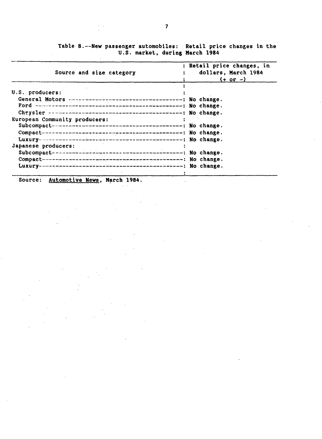| Source and size category                                                                                        | : Retail price changes, in<br>dollars, March 1984<br>$(+ or -)$ |
|-----------------------------------------------------------------------------------------------------------------|-----------------------------------------------------------------|
|                                                                                                                 |                                                                 |
| U.S. producers:                                                                                                 |                                                                 |
|                                                                                                                 |                                                                 |
|                                                                                                                 |                                                                 |
|                                                                                                                 |                                                                 |
| European Community producers:                                                                                   |                                                                 |
|                                                                                                                 |                                                                 |
|                                                                                                                 |                                                                 |
|                                                                                                                 |                                                                 |
| Japanese producers:                                                                                             |                                                                 |
|                                                                                                                 |                                                                 |
|                                                                                                                 |                                                                 |
|                                                                                                                 |                                                                 |
| the contract of the contract of the contract of the contract of the contract of the contract of the contract of |                                                                 |

 $\alpha_{\rm eff}$  ,  $\alpha_{\rm eff}$ 

Table 8.--New passenger automobiles: Retail price changes in the U.S. market, during March 1984

Source: Automotive News, March 1984.

 $\bar{\mathcal{A}}$